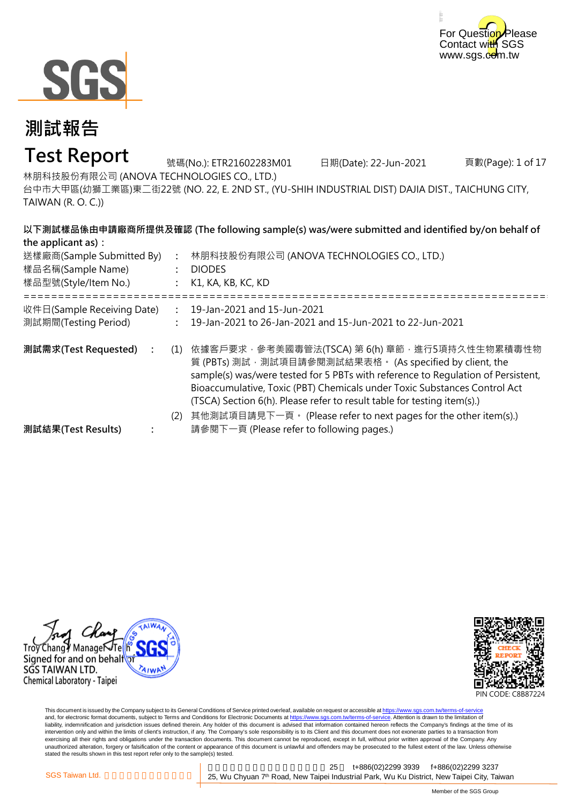



### **Test Report**

號碼(No.): ETR21602283M01 日期(Date): 22-Jun-2021

頁數(Page): 1 of 17

林朋科技股份有限公司 (ANOVA TECHNOLOGIES CO., LTD.)

台中市大甲區(幼獅工業區)東二街22號 (NO. 22, E. 2ND ST., (YU-SHIH INDUSTRIAL DIST) DAJIA DIST., TAICHUNG CITY, TAIWAN (R. O. C.))

| the applicant as):                                                     |     | 以下測試樣品係由申請廠商所提供及確認 (The following sample(s) was/were submitted and identified by/on behalf of                                                                                                                                                                                                                                                                                                                                 |
|------------------------------------------------------------------------|-----|-------------------------------------------------------------------------------------------------------------------------------------------------------------------------------------------------------------------------------------------------------------------------------------------------------------------------------------------------------------------------------------------------------------------------------|
| 送樣廠商(Sample Submitted By)<br>樣品名稱(Sample Name)<br>樣品型號(Style/Item No.) |     | 林朋科技股份有限公司 (ANOVA TECHNOLOGIES CO., LTD.)<br><b>DIODES</b><br>K1, KA, KB, KC, KD                                                                                                                                                                                                                                                                                                                                              |
| 收件日(Sample Receiving Date)<br>測試期間(Testing Period)                     |     | 19-Jan-2021 and 15-Jun-2021<br>19-Jan-2021 to 26-Jan-2021 and 15-Jun-2021 to 22-Jun-2021                                                                                                                                                                                                                                                                                                                                      |
| 測試需求(Test Requested) :                                                 | (1) | 依據客戶要求 · 參考美國毒管法(TSCA) 第 6(h) 章節 · 進行5項持久性生物累積毒性物<br>質 (PBTs) 測試, 測試項目請參閱測試結果表格。 (As specified by client, the<br>sample(s) was/were tested for 5 PBTs with reference to Regulation of Persistent,<br>Bioaccumulative, Toxic (PBT) Chemicals under Toxic Substances Control Act<br>(TSCA) Section 6(h). Please refer to result table for testing item(s).)<br>其他測試項目請見下一頁。 (Please refer to next pages for the other item(s).) |
| 測試結果(Test Results)                                                     | (2) | 請參閱下一頁 (Please refer to following pages.)                                                                                                                                                                                                                                                                                                                                                                                     |





This document is issued by the Company subject to its General Conditions of Service printed overleaf, available on request or accessible at <u>https://www.sgs.com.tw/terms-of-service</u><br>and, for electronic format documents, su liability, indemnification and jurisdiction issues defined therein. Any holder of this document is advised that information contained hereon reflects the Company's findings at the time of its intervention only and within the limits of client's instruction, if any. The Company's sole responsibility is to its Client and this document does not exonerate parties to a transaction from exercising all their rights and obligations under the transaction documents. This document cannot be reproduced, except in full, without prior written approval of the Company. Any<br>unauthorized alteration, forgery or falsif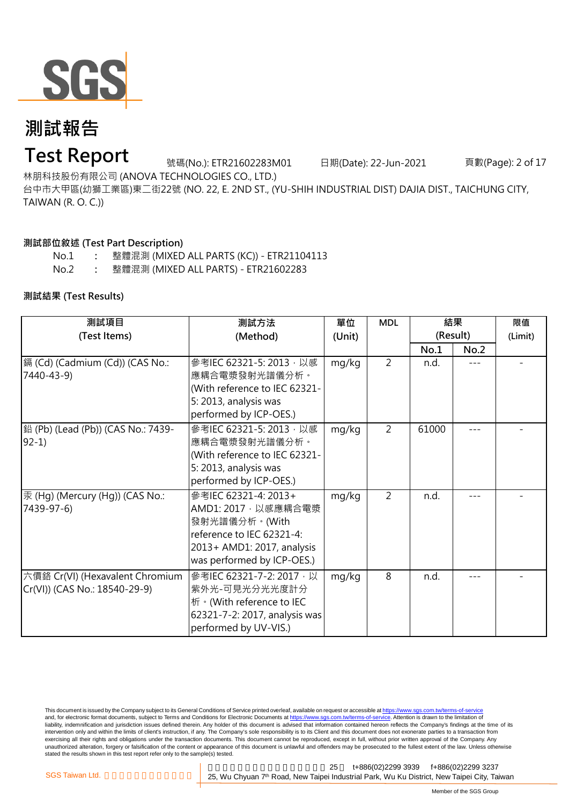

### **Test Report**

號碼(No.): ETR21602283M01 日期(Date): 22-Jun-2021 頁數(Page): 2 of 17

林朋科技股份有限公司 (ANOVA TECHNOLOGIES CO., LTD.)

台中市大甲區(幼獅工業區)東二街22號 (NO. 22, E. 2ND ST., (YU-SHIH INDUSTRIAL DIST) DAJIA DIST., TAICHUNG CITY, TAIWAN (R. O. C.))

#### **測試部位敘述 (Test Part Description)**

No.1 **:** No.2 **:** 整體混測 (MIXED ALL PARTS) - ETR21602283 整體混測 (MIXED ALL PARTS (KC)) - ETR21104113

#### **測試結果 (Test Results)**

| 測試項目                                                             | 測試方法                                                                                                                                                  | 單位     | <b>MDL</b>     | 結果       |      | 限值      |
|------------------------------------------------------------------|-------------------------------------------------------------------------------------------------------------------------------------------------------|--------|----------------|----------|------|---------|
| (Test Items)                                                     | (Method)                                                                                                                                              | (Unit) |                | (Result) |      | (Limit) |
|                                                                  |                                                                                                                                                       |        |                | No.1     | No.2 |         |
| [鎘 (Cd) (Cadmium (Cd)) (CAS No.:<br>7440-43-9)                   | 參考IEC 62321-5: 2013, 以感<br>應耦合電漿發射光譜儀分析。<br>(With reference to IEC 62321-<br>5: 2013, analysis was<br>performed by ICP-OES.)                          | mg/kg  | $\overline{2}$ | n.d.     |      |         |
| 鉛 (Pb) (Lead (Pb)) (CAS No.: 7439-<br>$92-1)$                    | 參考IEC 62321-5: 2013, 以感<br>應耦合電漿發射光譜儀分析。<br>(With reference to IEC 62321-<br>5: 2013, analysis was<br>performed by ICP-OES.)                          | mg/kg  | $\overline{2}$ | 61000    |      |         |
| 汞 (Hg) (Mercury (Hg)) (CAS No.:<br>7439-97-6)                    | 參考IEC 62321-4: 2013+<br>AMD1: 2017, 以感應耦合電漿<br>發射光譜儀分析。(With<br>reference to IEC 62321-4:<br>2013+ AMD1: 2017, analysis<br>was performed by ICP-OES.) | mg/kg  | $\overline{2}$ | n.d.     |      |         |
| 六價鉻 Cr(VI) (Hexavalent Chromium<br>Cr(VI)) (CAS No.: 18540-29-9) | 參考IEC 62321-7-2: 2017, 以<br>紫外光-可見光分光光度計分<br>析 · (With reference to IEC<br>62321-7-2: 2017, analysis was<br>performed by UV-VIS.)                     | mg/kg  | 8              | n.d.     |      |         |

This document is issued by the Company subject to its General Conditions of Service printed overleaf, available on request or accessible at https://www.sgs.com.tw/terms-of-service and, for electronic format documents, subject to Terms and Conditions for Electronic Documents at https://www.sgs.com.tw/terms-of-service. Attention is drawn to the limitation of liability, indemnification and jurisdiction issues defined therein. Any holder of this document is advised that information contained hereon reflects the Company's findings at the time of its intervention only and within the limits of client's instruction, if any. The Company's sole responsibility is to its Client and this document does not exonerate parties to a transaction from exercising all their rights and obligations under the transaction documents. This document cannot be reproduced, except in full, without prior written approval of the Company. Any<br>unauthorized alteration, forgery or falsif stated the results shown in this test report refer only to the sample(s) tested.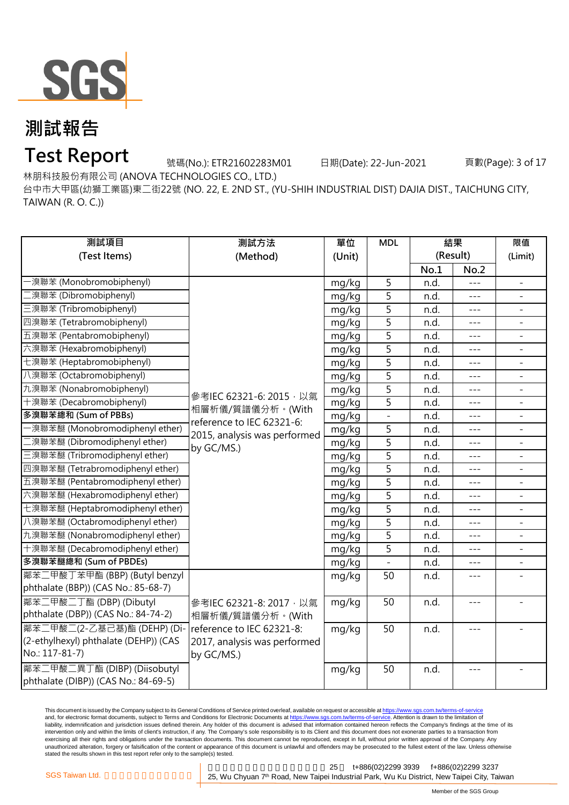

## **Test Report**

號碼(No.): ETR21602283M01 日期(Date): 22-Jun-2021 頁數(Page): 3 of 17

林朋科技股份有限公司 (ANOVA TECHNOLOGIES CO., LTD.)

台中市大甲區(幼獅工業區)東二街22號 (NO. 22, E. 2ND ST., (YU-SHIH INDUSTRIAL DIST) DAJIA DIST., TAICHUNG CITY, TAIWAN (R. O. C.))

| 測試項目                                  | 測試方法                         | 單位     | <b>MDL</b>     |      | 結果                  | 限值                       |
|---------------------------------------|------------------------------|--------|----------------|------|---------------------|--------------------------|
| (Test Items)                          | (Method)                     | (Unit) |                |      | (Result)            | (Limit)                  |
|                                       |                              |        |                | No.1 | No.2                |                          |
| -溴聯苯 (Monobromobiphenyl)              |                              | mg/kg  | 5              | n.d. |                     |                          |
| [溴聯苯 (Dibromobiphenyl)                |                              | mg/kg  | 5              | n.d. | $---$               | $\overline{\phantom{a}}$ |
| 三溴聯苯 (Tribromobiphenyl)               |                              | mg/kg  | 5              | n.d. | $- - -$             |                          |
| 四溴聯苯 (Tetrabromobiphenyl)             |                              | mg/kg  | 5              | n.d. | $- - -$             | $\overline{\phantom{0}}$ |
| 五溴聯苯 (Pentabromobiphenyl)             |                              | mg/kg  | 5              | n.d. |                     |                          |
| 六溴聯苯 (Hexabromobiphenyl)              |                              | mg/kg  | $\overline{5}$ | n.d. | ---                 |                          |
| 七溴聯苯 (Heptabromobiphenyl)             |                              | mg/kg  | $\overline{5}$ | n.d. | $- - -$             | $\overline{\phantom{0}}$ |
| 八溴聯苯 (Octabromobiphenyl)              |                              | mg/kg  | $\overline{5}$ | n.d. | $- - -$             | $\overline{\phantom{0}}$ |
| 九溴聯苯 (Nonabromobiphenyl)              | 參考IEC 62321-6: 2015, 以氣      | mg/kg  | $\overline{5}$ | n.d. | $---$               | $\overline{\phantom{a}}$ |
| 十溴聯苯 (Decabromobiphenyl)              | 相層析儀/質譜儀分析。(With             | mg/kg  | 5              | n.d. | $---$               |                          |
| 多溴聯苯總和 (Sum of PBBs)                  | reference to IEC 62321-6:    | mg/kg  |                | n.d. |                     |                          |
| -溴聯苯醚 (Monobromodiphenyl ether)       | 2015, analysis was performed | mg/kg  | 5              | n.d. | $- - -$             |                          |
| 二溴聯苯醚 (Dibromodiphenyl ether)         | by GC/MS.)                   | mg/kg  | $\overline{5}$ | n.d. | $ -$                | $\overline{\phantom{0}}$ |
| 三溴聯苯醚 (Tribromodiphenyl ether)        |                              | mg/kg  | $\overline{5}$ | n.d. | $- - -$             | $\overline{\phantom{0}}$ |
| 四溴聯苯醚 (Tetrabromodiphenyl ether)      |                              | mg/kg  | 5              | n.d. | $---$               | $\overline{a}$           |
| 五溴聯苯醚 (Pentabromodiphenyl ether)      |                              | mg/kg  | $\overline{5}$ | n.d. | $---$               | $\overline{a}$           |
| 六溴聯苯醚 (Hexabromodiphenyl ether)       |                              | mg/kg  | 5              | n.d. |                     |                          |
| 七溴聯苯醚 (Heptabromodiphenyl ether)      |                              | mg/kg  | 5              | n.d. | $- - -$             |                          |
| 八溴聯苯醚 (Octabromodiphenyl ether)       |                              | mg/kg  | 5              | n.d. | $---$               | $\overline{\phantom{0}}$ |
| 九溴聯苯醚 (Nonabromodiphenyl ether)       |                              | mg/kg  | 5              | n.d. | $- - -$             | $\overline{\phantom{0}}$ |
| 十溴聯苯醚 (Decabromodiphenyl ether)       |                              | mg/kg  | 5              | n.d. | $- - -$             |                          |
| 多溴聯苯醚總和 (Sum of PBDEs)                |                              | mg/kg  |                | n.d. | $- - -$             |                          |
| 鄰苯二甲酸丁苯甲酯 (BBP) (Butyl benzyl         |                              | mg/kg  | 50             | n.d. | ---                 |                          |
| phthalate (BBP)) (CAS No.: 85-68-7)   |                              |        |                |      |                     |                          |
| 鄰苯二甲酸二丁酯 (DBP) (Dibutyl               | 參考IEC 62321-8: 2017, 以氣      | mg/kg  | 50             | n.d. | $\qquad \qquad - -$ |                          |
| phthalate (DBP)) (CAS No.: 84-74-2)   | 相層析儀/質譜儀分析。(With             |        |                |      |                     |                          |
| 鄰苯二甲酸二(2-乙基己基)酯 (DEHP) (Di-           | reference to IEC 62321-8:    | mg/kg  | 50             | n.d. | $---$               |                          |
| (2-ethylhexyl) phthalate (DEHP)) (CAS | 2017, analysis was performed |        |                |      |                     |                          |
| No.: 117-81-7)                        | by GC/MS.)                   |        |                |      |                     |                          |
| 鄰苯二甲酸二異丁酯 (DIBP) (Diisobutyl          |                              | mg/kg  | 50             | n.d. | $---$               |                          |
| phthalate (DIBP)) (CAS No.: 84-69-5)  |                              |        |                |      |                     |                          |

This document is issued by the Company subject to its General Conditions of Service printed overleaf, available on request or accessible at <u>https://www.sgs.com.tw/terms-of-service</u><br>and, for electronic format documents, su liability, indemnification and jurisdiction issues defined therein. Any holder of this document is advised that information contained hereon reflects the Company's findings at the time of its intervention only and within the limits of client's instruction, if any. The Company's sole responsibility is to its Client and this document does not exonerate parties to a transaction from exercising all their rights and obligations under the transaction documents. This document cannot be reproduced, except in full, without prior written approval of the Company. Any<br>unauthorized alteration, forgery or falsif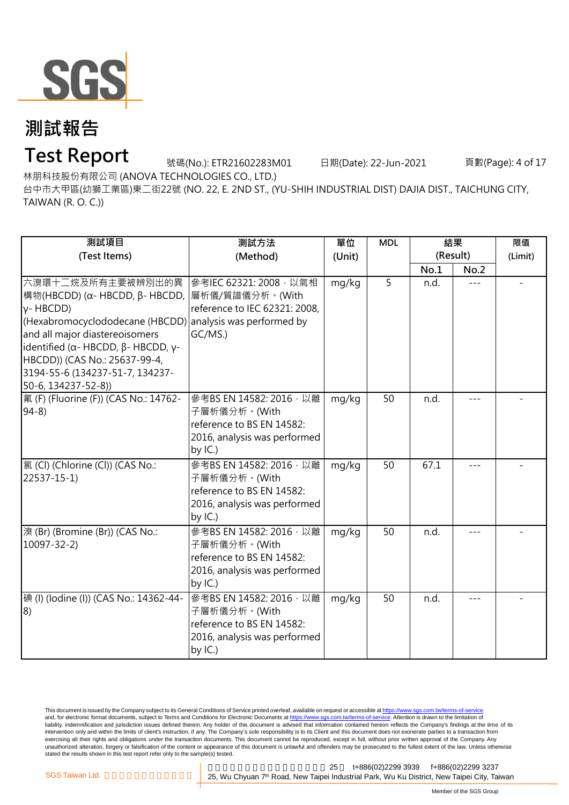

## **Test Report**

號碼(No.): ETR21602283M01 日期(Date): 22-Jun-2021 頁數(Page): 4 of 17

林朋科技股份有限公司 (ANOVA TECHNOLOGIES CO., LTD.)

台中市大甲區(幼獅工業區)東二街22號 (NO. 22, E. 2ND ST., (YU-SHIH INDUSTRIAL DIST) DAJIA DIST., TAICHUNG CITY, TAIWAN (R. O. C.))

| 測試項目<br>(Test Items)                                                                                                                                                                                                                                                                                                                        | 測試方法<br>(Method)                                                                                                   | 單位<br>(Unit) | <b>MDL</b> | 結果<br>(Result) |      | 限值<br>(Limit) |
|---------------------------------------------------------------------------------------------------------------------------------------------------------------------------------------------------------------------------------------------------------------------------------------------------------------------------------------------|--------------------------------------------------------------------------------------------------------------------|--------------|------------|----------------|------|---------------|
|                                                                                                                                                                                                                                                                                                                                             |                                                                                                                    |              |            | No.1           | No.2 |               |
| 六溴環十二烷及所有主要被辨別出的異<br>構物(HBCDD) (α- HBCDD, β- HBCDD,  層析儀/質譜儀分析。(With<br>$y$ -HBCDD)<br>(Hexabromocyclododecane (HBCDD) analysis was performed by<br>and all major diastereoisomers<br>identified ( $\alpha$ - HBCDD, $\beta$ - HBCDD, $\gamma$ -<br>HBCDD)) (CAS No.: 25637-99-4,<br>3194-55-6 (134237-51-7, 134237-<br>50-6, 134237-52-8)) | 参考IEC 62321: 2008 · 以氣相<br>reference to IEC 62321: 2008,<br>GC/MS.)                                                | mg/kg        | 5          | n.d.           |      |               |
| 氟 (F) (Fluorine (F)) (CAS No.: 14762-<br>$94-8$                                                                                                                                                                                                                                                                                             | 參考BS EN 14582: 2016, 以離<br>子層析儀分析。(With<br>reference to BS EN 14582:<br>2016, analysis was performed<br>by $IC.$ ) | mg/kg        | 50         | n.d.           |      |               |
| 氯(Cl) (Chlorine (Cl)) (CAS No.:<br>22537-15-1)                                                                                                                                                                                                                                                                                              | 參考BS EN 14582: 2016, 以離<br>子層析儀分析。(With<br>reference to BS EN 14582:<br>2016, analysis was performed<br>by $IC.$ ) | mg/kg        | 50         | 67.1           |      |               |
| 溴 (Br) (Bromine (Br)) (CAS No.:<br>10097-32-2)                                                                                                                                                                                                                                                                                              | 參考BS EN 14582: 2016, 以離<br>子層析儀分析。(With<br>reference to BS EN 14582:<br>2016, analysis was performed<br>by $IC.$ ) | mg/kg        | 50         | n.d.           |      |               |
| 碘 (I) (lodine (I)) (CAS No.: 14362-44-<br>8)                                                                                                                                                                                                                                                                                                | 參考BS EN 14582: 2016,以離<br>子層析儀分析。(With<br>reference to BS EN 14582:<br>2016, analysis was performed<br>by $IC.$ )  | mg/kg        | 50         | n.d.           |      |               |

This document is issued by the Company subject to its General Conditions of Service printed overleaf, available on request or accessible at <u>https://www.sgs.com.tw/terms-of-service</u><br>and, for electronic format documents, su liability, indemnification and jurisdiction issues defined therein. Any holder of this document is advised that information contained hereon reflects the Company's findings at the time of its intervention only and within the limits of client's instruction, if any. The Company's sole responsibility is to its Client and this document does not exonerate parties to a transaction from exercising all their rights and obligations under the transaction documents. This document cannot be reproduced, except in full, without prior written approval of the Company. Any<br>unauthorized alteration, forgery or falsif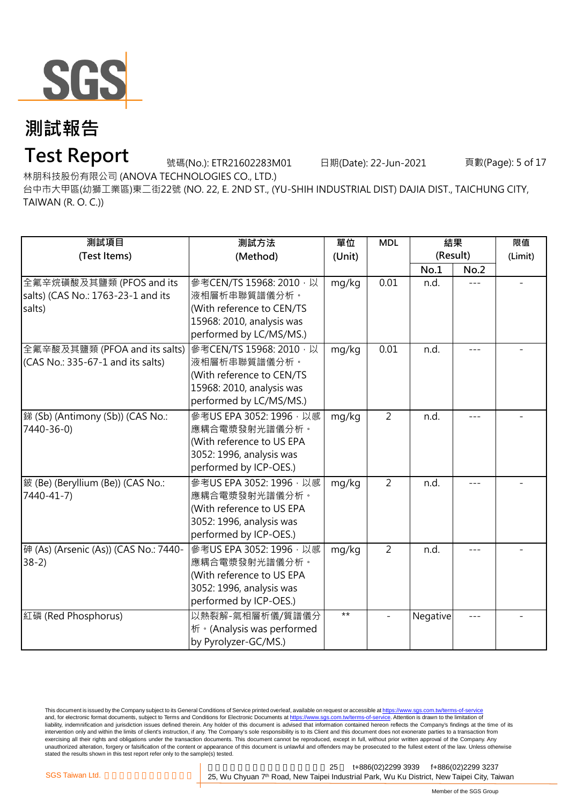

## **Test Report**

號碼(No.): ETR21602283M01 日期(Date): 22-Jun-2021 頁數(Page): 5 of 17

林朋科技股份有限公司 (ANOVA TECHNOLOGIES CO., LTD.)

台中市大甲區(幼獅工業區)東二街22號 (NO. 22, E. 2ND ST., (YU-SHIH INDUSTRIAL DIST) DAJIA DIST., TAICHUNG CITY, TAIWAN (R. O. C.))

| 測試項目                                                                     | 測試方法                                                                                                                          | 單位     | <b>MDL</b>     | 結果<br>(Result) |         | 限值      |
|--------------------------------------------------------------------------|-------------------------------------------------------------------------------------------------------------------------------|--------|----------------|----------------|---------|---------|
| (Test Items)                                                             | (Method)                                                                                                                      | (Unit) |                | No.1           | No.2    | (Limit) |
| 全氟辛烷磺酸及其鹽類 (PFOS and its<br>salts) (CAS No.: 1763-23-1 and its<br>salts) | 參考CEN/TS 15968: 2010, 以<br>液相層析串聯質譜儀分析。<br>(With reference to CEN/TS<br>15968: 2010, analysis was<br>performed by LC/MS/MS.)  | mg/kg  | 0.01           | n.d.           |         |         |
| 全氟辛酸及其鹽類 (PFOA and its salts)<br>(CAS No.: 335-67-1 and its salts)       | 參考CEN/TS 15968: 2010 · 以<br>液相層析串聯質譜儀分析。<br>(With reference to CEN/TS<br>15968: 2010, analysis was<br>performed by LC/MS/MS.) | mg/kg  | 0.01           | n.d.           |         |         |
| 銻 (Sb) (Antimony (Sb)) (CAS No.:<br>7440-36-0)                           | 參考US EPA 3052: 1996 · 以感<br>應耦合電漿發射光譜儀分析。<br>(With reference to US EPA<br>3052: 1996, analysis was<br>performed by ICP-OES.)  | mg/kg  | $\overline{2}$ | n.d.           | $- - -$ |         |
| 鈹 (Be) (Beryllium (Be)) (CAS No.:<br>7440-41-7)                          | 參考US EPA 3052: 1996, 以感<br>應耦合電漿發射光譜儀分析。<br>(With reference to US EPA<br>3052: 1996, analysis was<br>performed by ICP-OES.)   | mg/kg  | $\overline{2}$ | n.d.           |         |         |
| 砷 (As) (Arsenic (As)) (CAS No.: 7440-<br>$38-2)$                         | 參考US EPA 3052: 1996, 以感<br>應耦合電漿發射光譜儀分析。<br>(With reference to US EPA<br>3052: 1996, analysis was<br>performed by ICP-OES.)   | mg/kg  | $\overline{2}$ | n.d.           | ---     |         |
| 紅磷 (Red Phosphorus)                                                      | 以熱裂解-氣相層析儀/質譜儀分<br>析 · (Analysis was performed<br>by Pyrolyzer-GC/MS.)                                                        | $**$   |                | Negative       |         |         |

This document is issued by the Company subject to its General Conditions of Service printed overleaf, available on request or accessible at <u>https://www.sgs.com.tw/terms-of-service</u><br>and, for electronic format documents, su liability, indemnification and jurisdiction issues defined therein. Any holder of this document is advised that information contained hereon reflects the Company's findings at the time of its intervention only and within the limits of client's instruction, if any. The Company's sole responsibility is to its Client and this document does not exonerate parties to a transaction from exercising all their rights and obligations under the transaction documents. This document cannot be reproduced, except in full, without prior written approval of the Company. Any<br>unauthorized alteration, forgery or falsif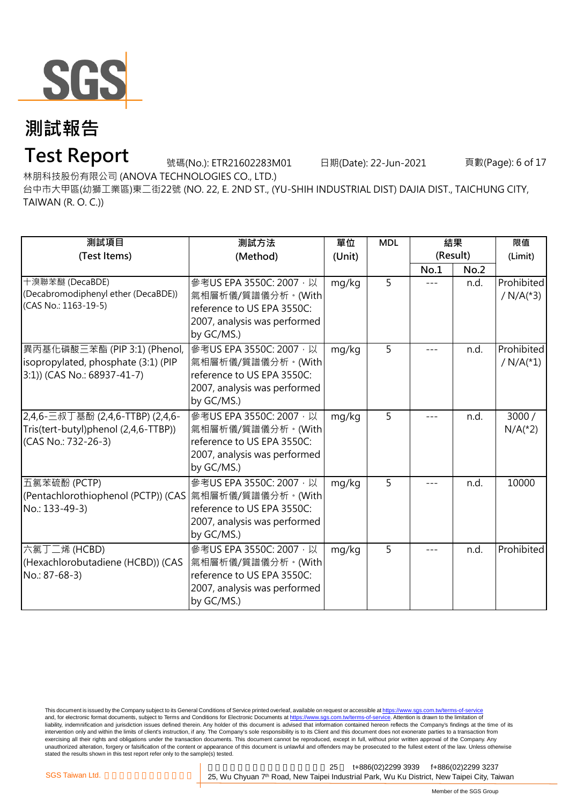

## **Test Report**

號碼(No.): ETR21602283M01 日期(Date): 22-Jun-2021 頁數(Page): 6 of 17

林朋科技股份有限公司 (ANOVA TECHNOLOGIES CO., LTD.)

台中市大甲區(幼獅工業區)東二街22號 (NO. 22, E. 2ND ST., (YU-SHIH INDUSTRIAL DIST) DAJIA DIST., TAICHUNG CITY, TAIWAN (R. O. C.))

| 測試項目<br>(Test Items)                                                                               | 測試方法<br>(Method)                                                                                                         | 單位<br>(Unit) | <b>MDL</b> | 結果<br>(Result) | 限值<br>(Limit) |                                       |
|----------------------------------------------------------------------------------------------------|--------------------------------------------------------------------------------------------------------------------------|--------------|------------|----------------|---------------|---------------------------------------|
|                                                                                                    |                                                                                                                          |              |            | No.1           | No.2          |                                       |
| 十溴聯苯醚 (DecaBDE)<br>(Decabromodiphenyl ether (DecaBDE))<br>(CAS No.: 1163-19-5)                     | 參考US EPA 3550C: 2007, 以<br>氣相層析儀/質譜儀分析。(With<br>reference to US EPA 3550C:<br>2007, analysis was performed<br>by GC/MS.) | mg/kg        | 5          |                | n.d.          | Prohibited<br>/ $N/A(*3)$             |
| 異丙基化磷酸三苯酯 (PIP 3:1) (Phenol,<br>isopropylated, phosphate (3:1) (PIP<br>3:1)) (CAS No.: 68937-41-7) | 参考US EPA 3550C: 2007, 以<br>氣相層析儀/質譜儀分析。(With<br>reference to US EPA 3550C:<br>2007, analysis was performed<br>by GC/MS.) | mg/kg        | 5          |                | n.d.          | Prohibited<br>/ $N/A$ <sup>(*1)</sup> |
| 2,4,6-三叔丁基酚 (2,4,6-TTBP) (2,4,6-<br>Tris(tert-butyl)phenol (2,4,6-TTBP))<br>(CAS No.: 732-26-3)    | 參考US EPA 3550C: 2007, 以<br>氣相層析儀/質譜儀分析。(With<br>reference to US EPA 3550C:<br>2007, analysis was performed<br>by GC/MS.) | mg/kg        | 5          | ---            | n.d.          | 3000/<br>$N/A(*2)$                    |
| 五氯苯硫酚 (PCTP)<br>(Pentachlorothiophenol (PCTP)) (CAS  氣相層析儀/質譜儀分析。(With<br>No.: 133-49-3)           | 參考US EPA 3550C: 2007, 以<br>reference to US EPA 3550C:<br>2007, analysis was performed<br>by GC/MS.)                      | mg/kg        | 5          |                | n.d.          | 10000                                 |
| 六氯丁二烯 (HCBD)<br>(Hexachlorobutadiene (HCBD)) (CAS<br>No.: 87-68-3)                                 | 參考US EPA 3550C: 2007, 以<br>氣相層析儀/質譜儀分析。(With<br>reference to US EPA 3550C:<br>2007, analysis was performed<br>by GC/MS.) | mg/kg        | 5          |                | n.d.          | Prohibited                            |

This document is issued by the Company subject to its General Conditions of Service printed overleaf, available on request or accessible at <u>https://www.sgs.com.tw/terms-of-service</u><br>and, for electronic format documents, su liability, indemnification and jurisdiction issues defined therein. Any holder of this document is advised that information contained hereon reflects the Company's findings at the time of its intervention only and within the limits of client's instruction, if any. The Company's sole responsibility is to its Client and this document does not exonerate parties to a transaction from exercising all their rights and obligations under the transaction documents. This document cannot be reproduced, except in full, without prior written approval of the Company. Any<br>unauthorized alteration, forgery or falsif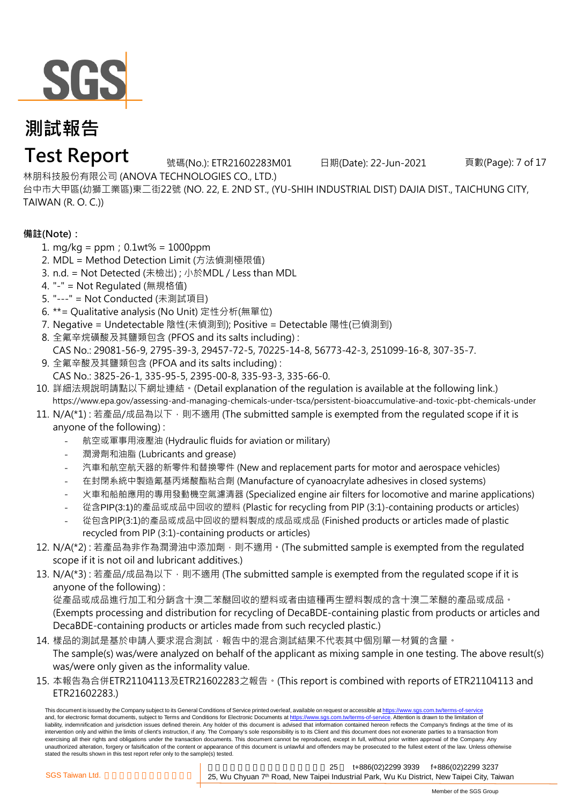

### **Test Report**

號碼(No.): ETR21602283M01 日期(Date): 22-Jun-2021 頁數(Page): 7 of 17

林朋科技股份有限公司 (ANOVA TECHNOLOGIES CO., LTD.)

台中市大甲區(幼獅工業區)東二街22號 (NO. 22, E. 2ND ST., (YU-SHIH INDUSTRIAL DIST) DAJIA DIST., TAICHUNG CITY, TAIWAN (R. O. C.))

#### **備註(Note):**

- 1. mg/kg = ppm;0.1wt% = 1000ppm
- 2. MDL = Method Detection Limit (方法偵測極限值)
- 3. n.d. = Not Detected (未檢出) ; 小於MDL / Less than MDL
- 4. "-" = Not Regulated (無規格值)
- 5. "---" = Not Conducted (未測試項目)
- 6. \*\*= Qualitative analysis (No Unit) 定性分析(無單位)
- 7. Negative = Undetectable 陰性(未偵測到); Positive = Detectable 陽性(已偵測到)
- 8. 全氟辛烷磺酸及其鹽類包含 (PFOS and its salts including) :
- CAS No.: 29081-56-9, 2795-39-3, 29457-72-5, 70225-14-8, 56773-42-3, 251099-16-8, 307-35-7.
- 9. 全氟辛酸及其鹽類包含 (PFOA and its salts including) :
- CAS No.: 3825-26-1, 335-95-5, 2395-00-8, 335-93-3, 335-66-0.
- 10. 詳細法規說明請點以下網址連結。(Detail explanation of the regulation is available at the following link.) [https://w](https://www.epa.gov/assessing-and-managing-chemicals-under-tsca/persistent-bioaccumulative-and-toxic-pbt-chemicals-under)ww.epa.gov/assessing-and-managing-chemicals-under-tsca/persistent-bioaccumulative-and-toxic-pbt-chemicals-under
- 11. N/A(\*1) : 若產品/成品為以下,則不適用 (The submitted sample is exempted from the requlated scope if it is anyone of the following) :
	- 航空或軍事用液壓油 (Hydraulic fluids for aviation or military)
	- 潤滑劑和油脂 (Lubricants and grease)
	- 汽車和航空航天器的新零件和替換零件 (New and replacement parts for motor and aerospace vehicles)
	- 在封閉系統中製造氰基丙烯酸酯粘合劑 (Manufacture of cyanoacrylate adhesives in closed systems)
	- 火車和船舶應用的專用發動機空氣濾清器 (Specialized engine air filters for locomotive and marine applications)
	- 從含PIP(3:1)的產品或成品中回收的塑料 (Plastic for recycling from PIP (3:1)-containing products or articles)
	- 從包含PIP(3:1)的產品或成品中回收的塑料製成的成品或成品 (Finished products or articles made of plastic recycled from PIP (3:1)-containing products or articles)
- 12. N/A(\*2) : 若產品為非作為潤滑油中添加劑,則不適用。(The submitted sample is exempted from the requlated scope if it is not oil and lubricant additives.)
- 13. N/A(\*3) : 若產品/成品為以下,則不適用 (The submitted sample is exempted from the requlated scope if it is anyone of the following) :

從產品或成品進行加工和分銷含十溴二苯醚回收的塑料或者由這種再生塑料製成的含十溴二苯醚的產品或成品。 (Exempts processing and distribution for recycling of DecaBDE-containing plastic from products or articles and DecaBDE-containing products or articles made from such recycled plastic.)

- 14. 樣品的測試是基於中請人要求混合測試,報告中的混合測試結果不代表其中個別單一材質的含量。 The sample(s) was/were analyzed on behalf of the applicant as mixing sample in one testing. The above result(s) was/were only given as the informality value.
- 15. 本報告為合併ETR21104113及ETR21602283之報告。(This report is combined with reports of ETR21104113 and ETR21602283.)

This document is issued by the Company subject to its General Conditions of Service printed overleaf, available on request or accessible at https://www.sgs.com.tw/terms-of-service and, for electronic format documents, subject to Terms and Conditions for Electronic Documents at https://www.sgs.com.tw/terms-of-service. Attention is drawn to the limitation of liability, indemnification and jurisdiction issues defined therein. Any holder of this document is advised that information contained hereon reflects the Company's findings at the time of its intervention only and within the limits of client's instruction, if any. The Company's sole responsibility is to its Client and this document does not exonerate parties to a transaction from exercising all their rights and obligations under the transaction documents. This document cannot be reproduced, except in full, without prior written approval of the Company. Any unauthorized alteration, forgery or falsification of the content or appearance of this document is unlawful and offenders may be prosecuted to the fullest extent of the law. Unless otherwise stated the results shown in this test report refer only to the sample(s) tested.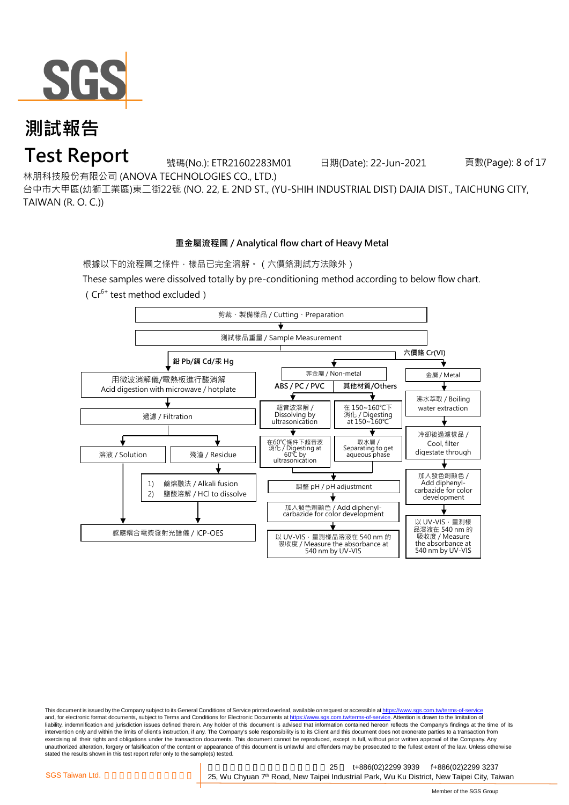

### **Test Report**

號碼(No.): ETR21602283M01 日期(Date): 22-Jun-2021 頁數(Page): 8 of 17

林朋科技股份有限公司 (ANOVA TECHNOLOGIES CO., LTD.)

台中市大甲區(幼獅工業區)東二街22號 (NO. 22, E. 2ND ST., (YU-SHIH INDUSTRIAL DIST) DAJIA DIST., TAICHUNG CITY, TAIWAN (R. O. C.))

#### **重金屬流程圖 / Analytical flow chart of Heavy Metal**

根據以下的流程圖之條件,樣品已完全溶解。(六價鉻測試方法除外)

These samples were dissolved totally by pre-conditioning method according to below flow chart.



This document is issued by the Company subject to its General Conditions of Service printed overleaf, available on request or accessible at https://www.sgs.com.tw/terms-of-service and, for electronic format documents, subject to Terms and Conditions for Electronic Documents at https://www.sgs.com.tw/terms-of-service. Attention is drawn to the limitation of liability, indemnification and jurisdiction issues defined therein. Any holder of this document is advised that information contained hereon reflects the Company's findings at the time of its intervention only and within the limits of client's instruction, if any. The Company's sole responsibility is to its Client and this document does not exonerate parties to a transaction from exercising all their rights and obligations under the transaction documents. This document cannot be reproduced, except in full, without prior written approval of the Company. Any<br>unauthorized alteration, forgery or falsif stated the results shown in this test report refer only to the sample(s) tested.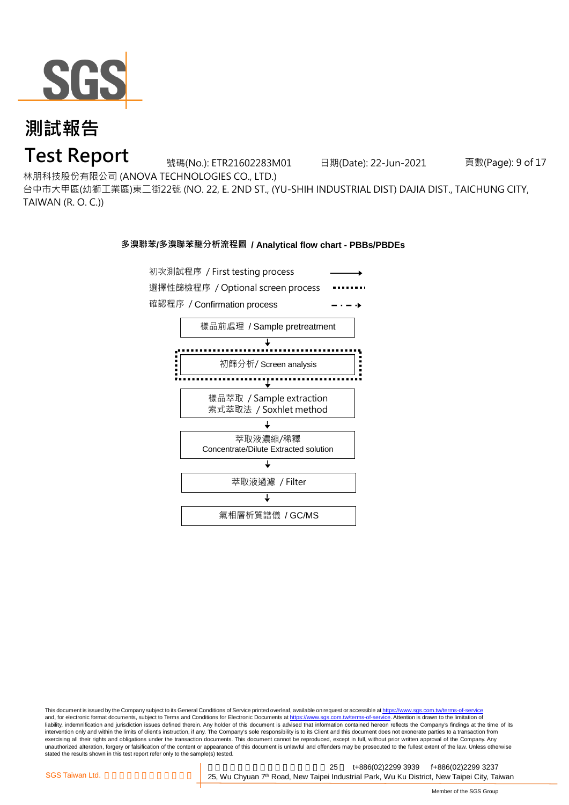

**Test Report**

號碼(No.): ETR21602283M01 日期(Date): 22-Jun-2021 頁數(Page): 9 of 17

林朋科技股份有限公司 (ANOVA TECHNOLOGIES CO., LTD.)

台中市大甲區(幼獅工業區)東二街22號 (NO. 22, E. 2ND ST., (YU-SHIH INDUSTRIAL DIST) DAJIA DIST., TAICHUNG CITY, TAIWAN (R. O. C.))

#### **多溴聯苯/多溴聯苯醚分析流程圖 / Analytical flow chart - PBBs/PBDEs**



This document is issued by the Company subject to its General Conditions of Service printed overleaf, available on request or accessible at https://www.sgs.com.tw/terms-of-service and, for electronic format documents, subject to Terms and Conditions for Electronic Documents at https://www.sgs.com.tw/terms-of-service. Attention is drawn to the limitation of liability, indemnification and jurisdiction issues defined therein. Any holder of this document is advised that information contained hereon reflects the Company's findings at the time of its intervention only and within the limits of client's instruction, if any. The Company's sole responsibility is to its Client and this document does not exonerate parties to a transaction from exercising all their rights and obligations under the transaction documents. This document cannot be reproduced, except in full, without prior written approval of the Company. Any<br>unauthorized alteration, forgery or falsif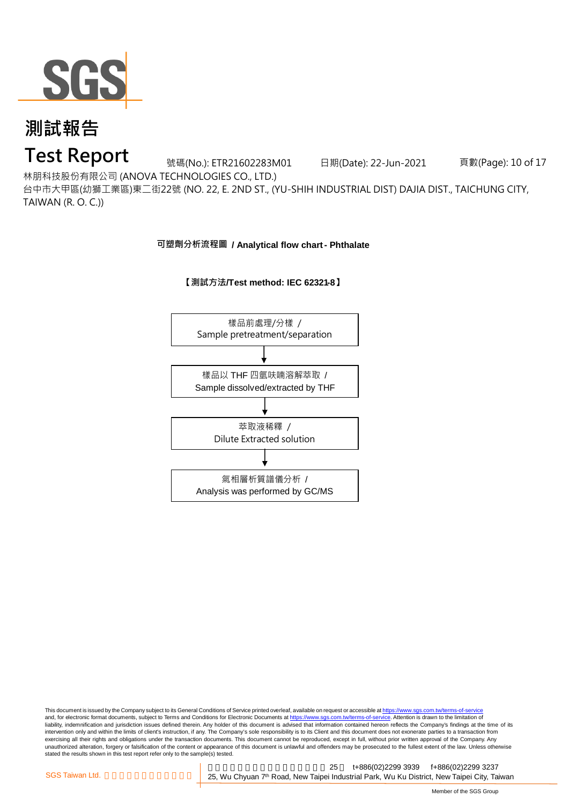

#### **Test Report**

號碼(No.): ETR21602283M01 日期(Date): 22-Jun-2021 頁數(Page): 10 of 17

林朋科技股份有限公司 (ANOVA TECHNOLOGIES CO., LTD.)

台中市大甲區(幼獅工業區)東二街22號 (NO. 22, E. 2ND ST., (YU-SHIH INDUSTRIAL DIST) DAJIA DIST., TAICHUNG CITY, TAIWAN (R. O. C.))

**可塑劑分析流程圖 / Analytical flow chart - Phthalate**



#### **【測試方法/Test method: IEC 62321-8】**

This document is issued by the Company subject to its General Conditions of Service printed overleaf, available on request or accessible at <u>https://www.sgs.com.tw/terms-of-service</u><br>and, for electronic format documents, su liability, indemnification and jurisdiction issues defined therein. Any holder of this document is advised that information contained hereon reflects the Company's findings at the time of its intervention only and within the limits of client's instruction, if any. The Company's sole responsibility is to its Client and this document does not exonerate parties to a transaction from exercising all their rights and obligations under the transaction documents. This document cannot be reproduced, except in full, without prior written approval of the Company. Any<br>unauthorized alteration, forgery or falsif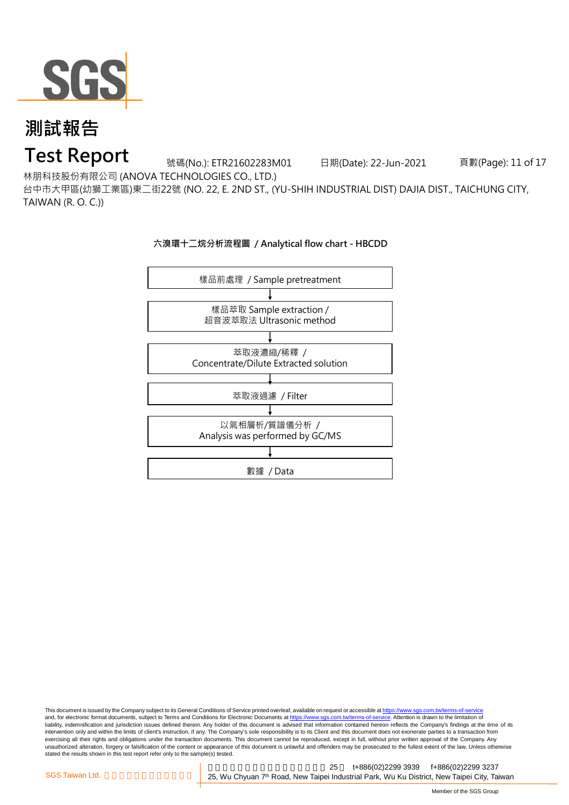

#### **Test Report**

號碼(No.): ETR21602283M01 日期(Date): 22-Jun-2021 頁數(Page): 11 of 17

林朋科技股份有限公司 (ANOVA TECHNOLOGIES CO., LTD.)

台中市大甲區(幼獅工業區)東二街22號 (NO. 22, E. 2ND ST., (YU-SHIH INDUSTRIAL DIST) DAJIA DIST., TAICHUNG CITY, TAIWAN (R. O. C.))



This document is issued by the Company subject to its General Conditions of Service printed overleaf, available on request or accessible at <u>https://www.sgs.com.tw/terms-of-service</u><br>and, for electronic format documents, su liability, indemnification and jurisdiction issues defined therein. Any holder of this document is advised that information contained hereon reflects the Company's findings at the time of its intervention only and within the limits of client's instruction, if any. The Company's sole responsibility is to its Client and this document does not exonerate parties to a transaction from exercising all their rights and obligations under the transaction documents. This document cannot be reproduced, except in full, without prior written approval of the Company. Any<br>unauthorized alteration, forgery or falsif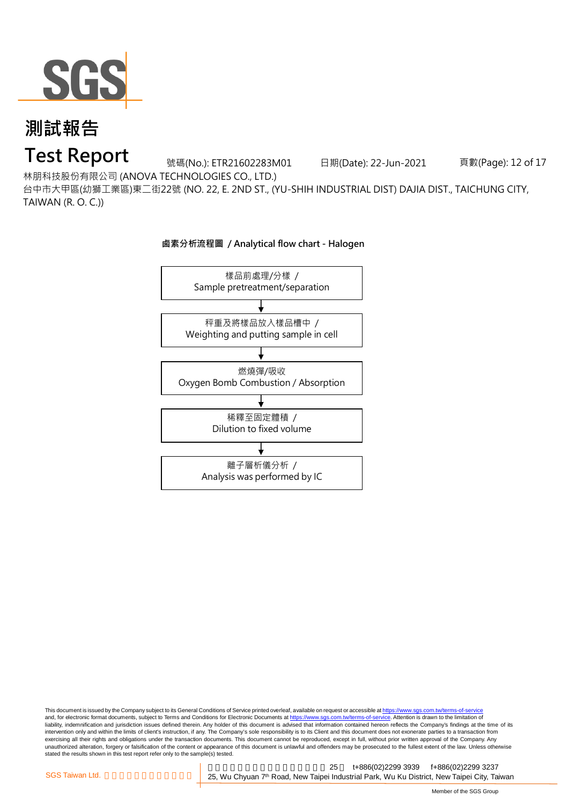

### **Test Report**

號碼(No.): ETR21602283M01 日期(Date): 22-Jun-2021 頁數(Page): 12 of 17

林朋科技股份有限公司 (ANOVA TECHNOLOGIES CO., LTD.)

台中市大甲區(幼獅工業區)東二街22號 (NO. 22, E. 2ND ST., (YU-SHIH INDUSTRIAL DIST) DAJIA DIST., TAICHUNG CITY, TAIWAN (R. O. C.))



This document is issued by the Company subject to its General Conditions of Service printed overleaf, available on request or accessible at <u>https://www.sgs.com.tw/terms-of-service</u><br>and, for electronic format documents, su liability, indemnification and jurisdiction issues defined therein. Any holder of this document is advised that information contained hereon reflects the Company's findings at the time of its intervention only and within the limits of client's instruction, if any. The Company's sole responsibility is to its Client and this document does not exonerate parties to a transaction from exercising all their rights and obligations under the transaction documents. This document cannot be reproduced, except in full, without prior written approval of the Company. Any<br>unauthorized alteration, forgery or falsif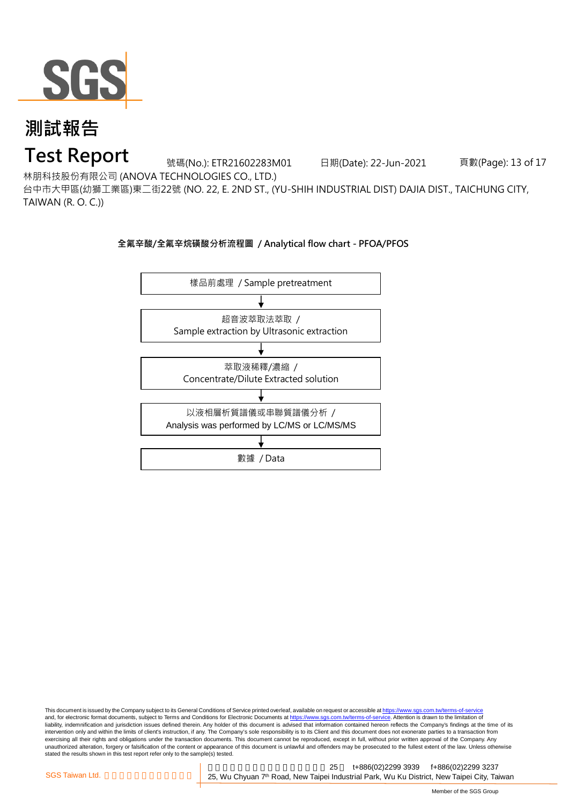

### **Test Report**

號碼(No.): ETR21602283M01 日期(Date): 22-Jun-2021 頁數(Page): 13 of 17

林朋科技股份有限公司 (ANOVA TECHNOLOGIES CO., LTD.)

台中市大甲區(幼獅工業區)東二街22號 (NO. 22, E. 2ND ST., (YU-SHIH INDUSTRIAL DIST) DAJIA DIST., TAICHUNG CITY, TAIWAN (R. O. C.))

#### **全氟辛酸/全氟辛烷磺酸分析流程圖 / Analytical flow chart - PFOA/PFOS**



This document is issued by the Company subject to its General Conditions of Service printed overleaf, available on request or accessible at https://www.sgs.com.tw/terms-of-service and, for electronic format documents, subject to Terms and Conditions for Electronic Documents at https://www.sgs.com.tw/terms-of-service. Attention is drawn to the limitation of liability, indemnification and jurisdiction issues defined therein. Any holder of this document is advised that information contained hereon reflects the Company's findings at the time of its intervention only and within the limits of client's instruction, if any. The Company's sole responsibility is to its Client and this document does not exonerate parties to a transaction from exercising all their rights and obligations under the transaction documents. This document cannot be reproduced, except in full, without prior written approval of the Company. Any<br>unauthorized alteration, forgery or falsif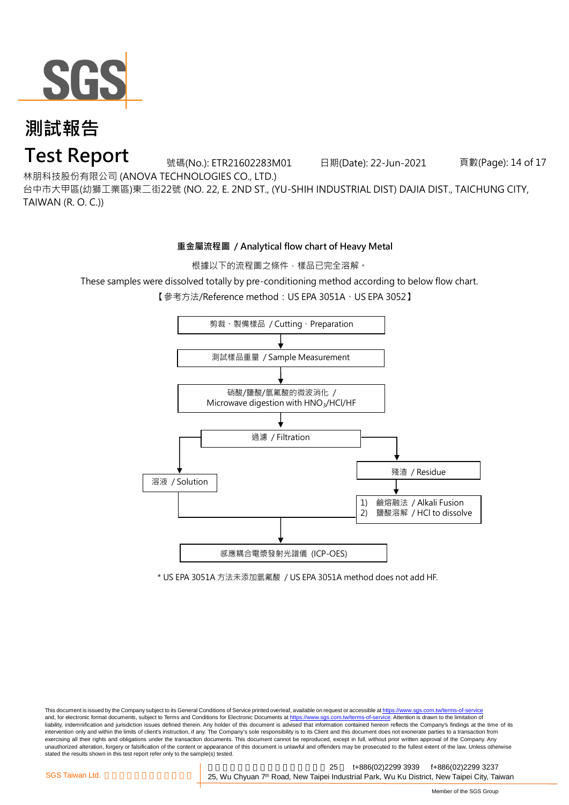

**Test Report**

號碼(No.): ETR21602283M01 日期(Date): 22-Jun-2021 頁數(Page): 14 of 17

林朋科技股份有限公司 (ANOVA TECHNOLOGIES CO., LTD.)

台中市大甲區(幼獅工業區)東二街22號 (NO. 22, E. 2ND ST., (YU-SHIH INDUSTRIAL DIST) DAJIA DIST., TAICHUNG CITY,

TAIWAN (R. O. C.))

#### **重金屬流程圖 / Analytical flow chart of Heavy Metal**

根據以下的流程圖之條件,樣品已完全溶解。

These samples were dissolved totally by pre-conditioning method according to below flow chart.

【參考方法/Reference method: US EPA 3051A、US EPA 3052】



\* US EPA 3051A 方法未添加氫氟酸 / US EPA 3051A method does not add HF.

This document is issued by the Company subject to its General Conditions of Service printed overleaf, available on request or accessible at https://www.sgs.com.tw/terms-of-service and, for electronic format documents, subject to Terms and Conditions for Electronic Documents at https://www.sgs.com.tw/terms-of-service. Attention is drawn to the limitation of liability, indemnification and jurisdiction issues defined therein. Any holder of this document is advised that information contained hereon reflects the Company's findings at the time of its intervention only and within the limits of client's instruction, if any. The Company's sole responsibility is to its Client and this document does not exonerate parties to a transaction from exercising all their rights and obligations under the transaction documents. This document cannot be reproduced, except in full, without prior written approval of the Company. Any<br>unauthorized alteration, forgery or falsif stated the results shown in this test report refer only to the sample(s) tested.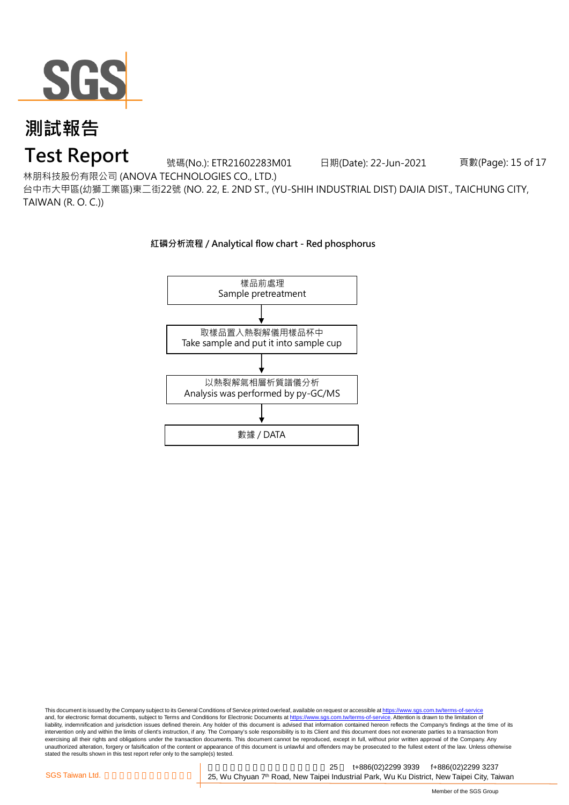

### **Test Report**

號碼(No.): ETR21602283M01 日期(Date): 22-Jun-2021 頁數(Page): 15 of 17

林朋科技股份有限公司 (ANOVA TECHNOLOGIES CO., LTD.)

台中市大甲區(幼獅工業區)東二街22號 (NO. 22, E. 2ND ST., (YU-SHIH INDUSTRIAL DIST) DAJIA DIST., TAICHUNG CITY, TAIWAN (R. O. C.))



**紅磷分析流程 / Analytical flow chart - Red phosphorus**

This document is issued by the Company subject to its General Conditions of Service printed overleaf, available on request or accessible at <u>https://www.sgs.com.tw/terms-of-service</u><br>and, for electronic format documents, su liability, indemnification and jurisdiction issues defined therein. Any holder of this document is advised that information contained hereon reflects the Company's findings at the time of its intervention only and within the limits of client's instruction, if any. The Company's sole responsibility is to its Client and this document does not exonerate parties to a transaction from exercising all their rights and obligations under the transaction documents. This document cannot be reproduced, except in full, without prior written approval of the Company. Any<br>unauthorized alteration, forgery or falsif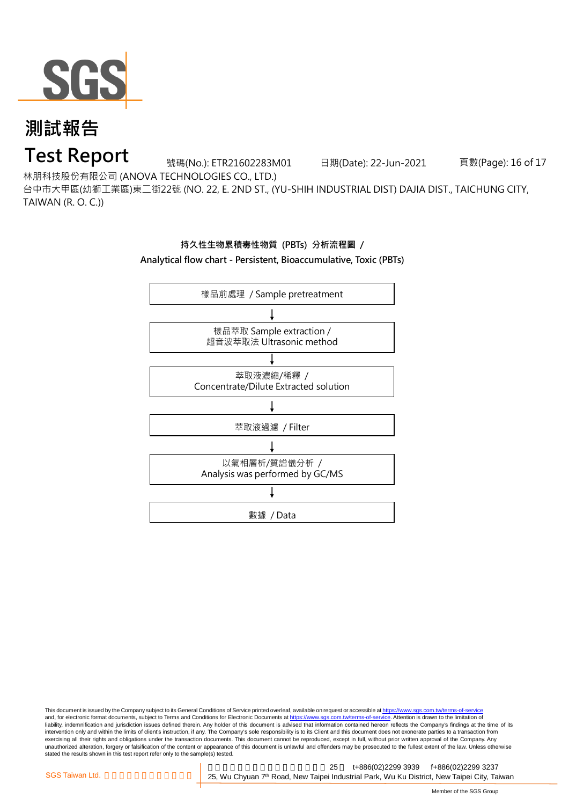

### **Test Report**

號碼(No.): ETR21602283M01 日期(Date): 22-Jun-2021 頁數(Page): 16 of 17

林朋科技股份有限公司 (ANOVA TECHNOLOGIES CO., LTD.)

台中市大甲區(幼獅工業區)東二街22號 (NO. 22, E. 2ND ST., (YU-SHIH INDUSTRIAL DIST) DAJIA DIST., TAICHUNG CITY, TAIWAN (R. O. C.))

#### **持久性生物累積毒性物質 (PBTs) 分析流程圖 /**

**Analytical flow chart - Persistent, Bioaccumulative, Toxic (PBTs)**



This document is issued by the Company subject to its General Conditions of Service printed overleaf, available on request or accessible at <u>https://www.sgs.com.tw/terms-of-service</u><br>and, for electronic format documents, su liability, indemnification and jurisdiction issues defined therein. Any holder of this document is advised that information contained hereon reflects the Company's findings at the time of its intervention only and within the limits of client's instruction, if any. The Company's sole responsibility is to its Client and this document does not exonerate parties to a transaction from exercising all their rights and obligations under the transaction documents. This document cannot be reproduced, except in full, without prior written approval of the Company. Any<br>unauthorized alteration, forgery or falsif